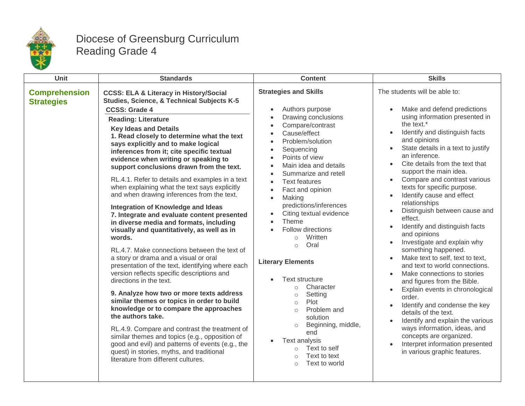

## Diocese of Greensburg Curriculum Reading Grade 4

| Unit                                      | <b>Standards</b>                                                                                                                                                                                                                                                                                                                                                                                                                                                                                                                                                                                                                                                                                                                                                                                                                                                                                                                                                                                                                                                                                                                                                                                                                                                                                                                                                                       | <b>Content</b>                                                                                                                                                                                                                                                                                                                                                                                                                                                                                                                                                                                                                                                                                                                                                                              | <b>Skills</b>                                                                                                                                                                                                                                                                                                                                                                                                                                                                                                                                                                                                                                                                                                                                                                                                                                                                                                                                                                                                                    |
|-------------------------------------------|----------------------------------------------------------------------------------------------------------------------------------------------------------------------------------------------------------------------------------------------------------------------------------------------------------------------------------------------------------------------------------------------------------------------------------------------------------------------------------------------------------------------------------------------------------------------------------------------------------------------------------------------------------------------------------------------------------------------------------------------------------------------------------------------------------------------------------------------------------------------------------------------------------------------------------------------------------------------------------------------------------------------------------------------------------------------------------------------------------------------------------------------------------------------------------------------------------------------------------------------------------------------------------------------------------------------------------------------------------------------------------------|---------------------------------------------------------------------------------------------------------------------------------------------------------------------------------------------------------------------------------------------------------------------------------------------------------------------------------------------------------------------------------------------------------------------------------------------------------------------------------------------------------------------------------------------------------------------------------------------------------------------------------------------------------------------------------------------------------------------------------------------------------------------------------------------|----------------------------------------------------------------------------------------------------------------------------------------------------------------------------------------------------------------------------------------------------------------------------------------------------------------------------------------------------------------------------------------------------------------------------------------------------------------------------------------------------------------------------------------------------------------------------------------------------------------------------------------------------------------------------------------------------------------------------------------------------------------------------------------------------------------------------------------------------------------------------------------------------------------------------------------------------------------------------------------------------------------------------------|
| <b>Comprehension</b><br><b>Strategies</b> | <b>CCSS: ELA &amp; Literacy in History/Social</b><br>Studies, Science, & Technical Subjects K-5<br><b>CCSS: Grade 4</b><br><b>Reading: Literature</b><br><b>Key Ideas and Details</b><br>1. Read closely to determine what the text<br>says explicitly and to make logical<br>inferences from it; cite specific textual<br>evidence when writing or speaking to<br>support conclusions drawn from the text.<br>RL.4.1. Refer to details and examples in a text<br>when explaining what the text says explicitly<br>and when drawing inferences from the text.<br><b>Integration of Knowledge and Ideas</b><br>7. Integrate and evaluate content presented<br>in diverse media and formats, including<br>visually and quantitatively, as well as in<br>words.<br>RL.4.7. Make connections between the text of<br>a story or drama and a visual or oral<br>presentation of the text, identifying where each<br>version reflects specific descriptions and<br>directions in the text.<br>9. Analyze how two or more texts address<br>similar themes or topics in order to build<br>knowledge or to compare the approaches<br>the authors take.<br>RL.4.9. Compare and contrast the treatment of<br>similar themes and topics (e.g., opposition of<br>good and evil) and patterns of events (e.g., the<br>quest) in stories, myths, and traditional<br>literature from different cultures. | <b>Strategies and Skills</b><br>Authors purpose<br>$\bullet$<br>Drawing conclusions<br>Compare/contrast<br>Cause/effect<br>Problem/solution<br>Sequencing<br>$\bullet$<br>Points of view<br>Main idea and details<br>$\bullet$<br>Summarize and retell<br>$\bullet$<br><b>Text features</b><br>Fact and opinion<br>Making<br>predictions/inferences<br>Citing textual evidence<br>$\bullet$<br>Theme<br>$\bullet$<br>Follow directions<br>Written<br>$\circ$<br>Oral<br>$\circ$<br><b>Literary Elements</b><br><b>Text structure</b><br>Character<br>$\circ$<br>Setting<br>$\circ$<br>Plot<br>$\circ$<br>Problem and<br>$\circ$<br>solution<br>Beginning, middle,<br>$\circ$<br>end<br>Text analysis<br>Text to self<br>$\circ$<br>Text to text<br>$\bigcirc$<br>Text to world<br>$\bigcap$ | The students will be able to:<br>Make and defend predictions<br>using information presented in<br>the text.*<br>Identify and distinguish facts<br>and opinions<br>State details in a text to justify<br>an inference.<br>Cite details from the text that<br>$\bullet$<br>support the main idea.<br>Compare and contrast various<br>$\bullet$<br>texts for specific purpose.<br>Identify cause and effect<br>relationships<br>Distinguish between cause and<br>effect.<br>Identify and distinguish facts<br>$\bullet$<br>and opinions<br>Investigate and explain why<br>$\bullet$<br>something happened.<br>Make text to self, text to text,<br>and text to world connections.<br>Make connections to stories<br>and figures from the Bible.<br>Explain events in chronological<br>order.<br>Identify and condense the key<br>$\bullet$<br>details of the text.<br>Identify and explain the various<br>ways information, ideas, and<br>concepts are organized.<br>Interpret information presented<br>in various graphic features. |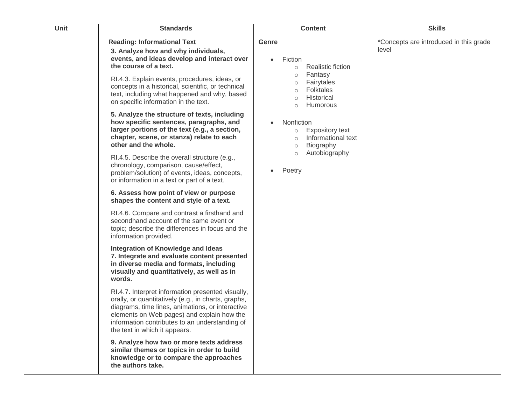| <b>Unit</b> | <b>Standards</b>                                                                                                                                                                                                                                                                              | <b>Content</b>                                                                                           | <b>Skills</b>                                   |
|-------------|-----------------------------------------------------------------------------------------------------------------------------------------------------------------------------------------------------------------------------------------------------------------------------------------------|----------------------------------------------------------------------------------------------------------|-------------------------------------------------|
|             | <b>Reading: Informational Text</b><br>3. Analyze how and why individuals,<br>events, and ideas develop and interact over<br>the course of a text.<br>RI.4.3. Explain events, procedures, ideas, or                                                                                            | Genre<br>Fiction<br><b>Realistic fiction</b><br>$\circ$<br>Fantasy<br>$\circ$                            | *Concepts are introduced in this grade<br>level |
|             | concepts in a historical, scientific, or technical<br>text, including what happened and why, based<br>on specific information in the text.                                                                                                                                                    | Fairytales<br>$\circ$<br><b>Folktales</b><br>$\circ$<br>Historical<br>$\circ$<br>Humorous<br>$\circ$     |                                                 |
|             | 5. Analyze the structure of texts, including<br>how specific sentences, paragraphs, and<br>larger portions of the text (e.g., a section,<br>chapter, scene, or stanza) relate to each<br>other and the whole.                                                                                 | Nonfiction<br><b>Expository text</b><br>$\circ$<br>Informational text<br>$\circ$<br>Biography<br>$\circ$ |                                                 |
|             | RI.4.5. Describe the overall structure (e.g.,<br>chronology, comparison, cause/effect,<br>problem/solution) of events, ideas, concepts,<br>or information in a text or part of a text.                                                                                                        | Autobiography<br>$\circ$<br>Poetry                                                                       |                                                 |
|             | 6. Assess how point of view or purpose<br>shapes the content and style of a text.                                                                                                                                                                                                             |                                                                                                          |                                                 |
|             | RI.4.6. Compare and contrast a firsthand and<br>secondhand account of the same event or<br>topic; describe the differences in focus and the<br>information provided.                                                                                                                          |                                                                                                          |                                                 |
|             | <b>Integration of Knowledge and Ideas</b><br>7. Integrate and evaluate content presented<br>in diverse media and formats, including<br>visually and quantitatively, as well as in<br>words.                                                                                                   |                                                                                                          |                                                 |
|             | RI.4.7. Interpret information presented visually,<br>orally, or quantitatively (e.g., in charts, graphs,<br>diagrams, time lines, animations, or interactive<br>elements on Web pages) and explain how the<br>information contributes to an understanding of<br>the text in which it appears. |                                                                                                          |                                                 |
|             | 9. Analyze how two or more texts address<br>similar themes or topics in order to build<br>knowledge or to compare the approaches<br>the authors take.                                                                                                                                         |                                                                                                          |                                                 |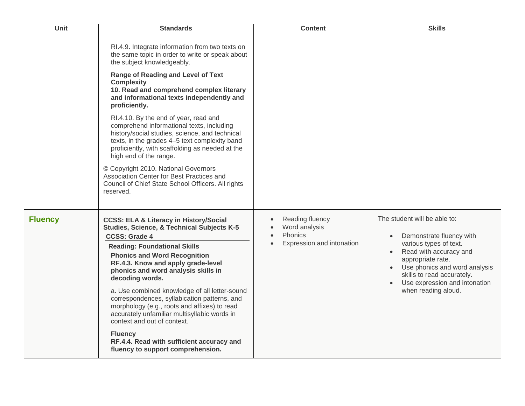| <b>Unit</b>    | <b>Standards</b>                                                                                                                                                                                                                                                                                                                                                                                                                                                                                                                                                                                                                                                                                                                           | <b>Content</b>                                                                        | <b>Skills</b>                                                                                                                                                                                                                                            |
|----------------|--------------------------------------------------------------------------------------------------------------------------------------------------------------------------------------------------------------------------------------------------------------------------------------------------------------------------------------------------------------------------------------------------------------------------------------------------------------------------------------------------------------------------------------------------------------------------------------------------------------------------------------------------------------------------------------------------------------------------------------------|---------------------------------------------------------------------------------------|----------------------------------------------------------------------------------------------------------------------------------------------------------------------------------------------------------------------------------------------------------|
|                | RI.4.9. Integrate information from two texts on<br>the same topic in order to write or speak about<br>the subject knowledgeably.<br><b>Range of Reading and Level of Text</b><br><b>Complexity</b><br>10. Read and comprehend complex literary<br>and informational texts independently and<br>proficiently.<br>RI.4.10. By the end of year, read and<br>comprehend informational texts, including<br>history/social studies, science, and technical<br>texts, in the grades 4-5 text complexity band<br>proficiently, with scaffolding as needed at the<br>high end of the range.<br>© Copyright 2010. National Governors<br>Association Center for Best Practices and<br>Council of Chief State School Officers. All rights<br>reserved. |                                                                                       |                                                                                                                                                                                                                                                          |
| <b>Fluency</b> | <b>CCSS: ELA &amp; Literacy in History/Social</b><br><b>Studies, Science, &amp; Technical Subjects K-5</b><br><b>CCSS: Grade 4</b><br><b>Reading: Foundational Skills</b><br><b>Phonics and Word Recognition</b><br>RF.4.3. Know and apply grade-level<br>phonics and word analysis skills in<br>decoding words.<br>a. Use combined knowledge of all letter-sound<br>correspondences, syllabication patterns, and<br>morphology (e.g., roots and affixes) to read<br>accurately unfamiliar multisyllabic words in<br>context and out of context.<br><b>Fluency</b><br>RF.4.4. Read with sufficient accuracy and<br>fluency to support comprehension.                                                                                       | Reading fluency<br>Word analysis<br>Phonics<br>$\bullet$<br>Expression and intonation | The student will be able to:<br>Demonstrate fluency with<br>various types of text.<br>Read with accuracy and<br>appropriate rate.<br>Use phonics and word analysis<br>skills to read accurately.<br>Use expression and intonation<br>when reading aloud. |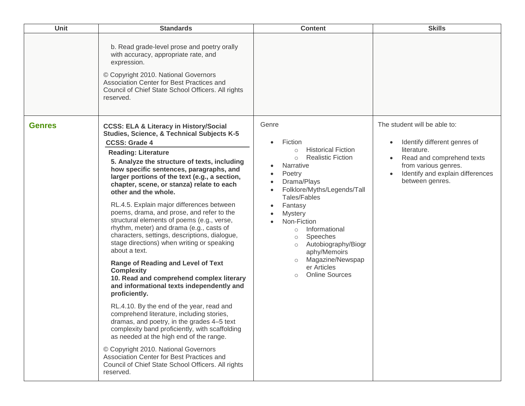| Unit          | <b>Standards</b>                                                                                                                                                                                                                                                                                                                                                                                                                                                                                                                                                                                                                                                                                                                                                                                                                                                                                                                                                                                                                                                                                                                                                                                                                                               | <b>Content</b>                                                                                                                                                                                                                                                                                                                                                                                                           | <b>Skills</b>                                                                                                                                                                                        |
|---------------|----------------------------------------------------------------------------------------------------------------------------------------------------------------------------------------------------------------------------------------------------------------------------------------------------------------------------------------------------------------------------------------------------------------------------------------------------------------------------------------------------------------------------------------------------------------------------------------------------------------------------------------------------------------------------------------------------------------------------------------------------------------------------------------------------------------------------------------------------------------------------------------------------------------------------------------------------------------------------------------------------------------------------------------------------------------------------------------------------------------------------------------------------------------------------------------------------------------------------------------------------------------|--------------------------------------------------------------------------------------------------------------------------------------------------------------------------------------------------------------------------------------------------------------------------------------------------------------------------------------------------------------------------------------------------------------------------|------------------------------------------------------------------------------------------------------------------------------------------------------------------------------------------------------|
|               | b. Read grade-level prose and poetry orally<br>with accuracy, appropriate rate, and<br>expression.<br>© Copyright 2010. National Governors<br>Association Center for Best Practices and<br>Council of Chief State School Officers. All rights<br>reserved.                                                                                                                                                                                                                                                                                                                                                                                                                                                                                                                                                                                                                                                                                                                                                                                                                                                                                                                                                                                                     |                                                                                                                                                                                                                                                                                                                                                                                                                          |                                                                                                                                                                                                      |
| <b>Genres</b> | <b>CCSS: ELA &amp; Literacy in History/Social</b><br><b>Studies, Science, &amp; Technical Subjects K-5</b><br><b>CCSS: Grade 4</b><br><b>Reading: Literature</b><br>5. Analyze the structure of texts, including<br>how specific sentences, paragraphs, and<br>larger portions of the text (e.g., a section,<br>chapter, scene, or stanza) relate to each<br>other and the whole.<br>RL.4.5. Explain major differences between<br>poems, drama, and prose, and refer to the<br>structural elements of poems (e.g., verse,<br>rhythm, meter) and drama (e.g., casts of<br>characters, settings, descriptions, dialogue,<br>stage directions) when writing or speaking<br>about a text.<br><b>Range of Reading and Level of Text</b><br><b>Complexity</b><br>10. Read and comprehend complex literary<br>and informational texts independently and<br>proficiently.<br>RL.4.10. By the end of the year, read and<br>comprehend literature, including stories,<br>dramas, and poetry, in the grades 4–5 text<br>complexity band proficiently, with scaffolding<br>as needed at the high end of the range.<br>© Copyright 2010. National Governors<br>Association Center for Best Practices and<br>Council of Chief State School Officers. All rights<br>reserved. | Genre<br>Fiction<br><b>Historical Fiction</b><br>$\circ$<br><b>Realistic Fiction</b><br>$\circ$<br>Narrative<br>Poetry<br>Drama/Plays<br>Folklore/Myths/Legends/Tall<br>Tales/Fables<br>Fantasy<br><b>Mystery</b><br>Non-Fiction<br>Informational<br>$\circ$<br>Speeches<br>$\circlearrowright$<br>Autobiography/Biogr<br>$\circ$<br>aphy/Memoirs<br>Magazine/Newspap<br>er Articles<br><b>Online Sources</b><br>$\circ$ | The student will be able to:<br>Identify different genres of<br>$\bullet$<br>literature.<br>Read and comprehend texts<br>from various genres.<br>Identify and explain differences<br>between genres. |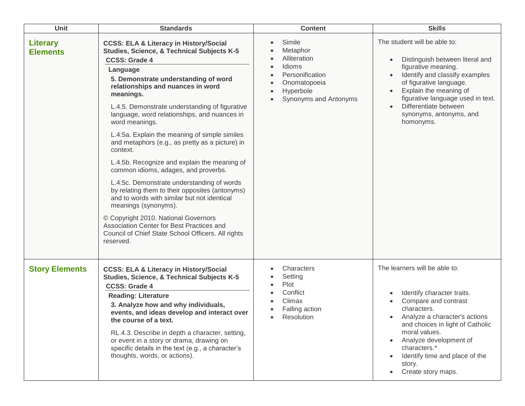| Unit                               | <b>Standards</b>                                                                                                                                                                                                                                                                                                                                                                                                                                                                                                                                                                                                                                                                                                                                                                                                                                                                                    | <b>Content</b>                                                                                                        | <b>Skills</b>                                                                                                                                                                                                                                                                                        |
|------------------------------------|-----------------------------------------------------------------------------------------------------------------------------------------------------------------------------------------------------------------------------------------------------------------------------------------------------------------------------------------------------------------------------------------------------------------------------------------------------------------------------------------------------------------------------------------------------------------------------------------------------------------------------------------------------------------------------------------------------------------------------------------------------------------------------------------------------------------------------------------------------------------------------------------------------|-----------------------------------------------------------------------------------------------------------------------|------------------------------------------------------------------------------------------------------------------------------------------------------------------------------------------------------------------------------------------------------------------------------------------------------|
| <b>Literary</b><br><b>Elements</b> | <b>CCSS: ELA &amp; Literacy in History/Social</b><br><b>Studies, Science, &amp; Technical Subjects K-5</b><br><b>CCSS: Grade 4</b><br>Language<br>5. Demonstrate understanding of word<br>relationships and nuances in word<br>meanings.<br>L.4.5. Demonstrate understanding of figurative<br>language, word relationships, and nuances in<br>word meanings.<br>L.4.5a. Explain the meaning of simple similes<br>and metaphors (e.g., as pretty as a picture) in<br>context.<br>L.4.5b. Recognize and explain the meaning of<br>common idioms, adages, and proverbs.<br>L.4.5c. Demonstrate understanding of words<br>by relating them to their opposites (antonyms)<br>and to words with similar but not identical<br>meanings (synonyms).<br>© Copyright 2010. National Governors<br>Association Center for Best Practices and<br>Council of Chief State School Officers. All rights<br>reserved. | Simile<br>Metaphor<br>Alliteration<br>Idioms<br>Personification<br>Onomatopoeia<br>Hyperbole<br>Synonyms and Antonyms | The student will be able to:<br>Distinguish between literal and<br>$\bullet$<br>figurative meaning.<br>Identify and classify examples<br>of figurative language.<br>Explain the meaning of<br>figurative language used in text.<br>Differentiate between<br>synonyms, antonyms, and<br>homonyms.     |
| <b>Story Elements</b>              | <b>CCSS: ELA &amp; Literacy in History/Social</b><br><b>Studies, Science, &amp; Technical Subjects K-5</b><br><b>CCSS: Grade 4</b><br><b>Reading: Literature</b><br>3. Analyze how and why individuals,<br>events, and ideas develop and interact over<br>the course of a text.<br>RL.4.3. Describe in depth a character, setting,<br>or event in a story or drama, drawing on<br>specific details in the text (e.g., a character's<br>thoughts, words, or actions).                                                                                                                                                                                                                                                                                                                                                                                                                                | Characters<br>Setting<br>Plot<br>Conflict<br>Climax<br>Falling action<br>Resolution                                   | The learners will be able to:<br>Identify character traits.<br>Compare and contrast<br>characters.<br>Analyze a character's actions<br>and choices in light of Catholic<br>moral values.<br>Analyze development of<br>characters.*<br>Identify time and place of the<br>story.<br>Create story maps. |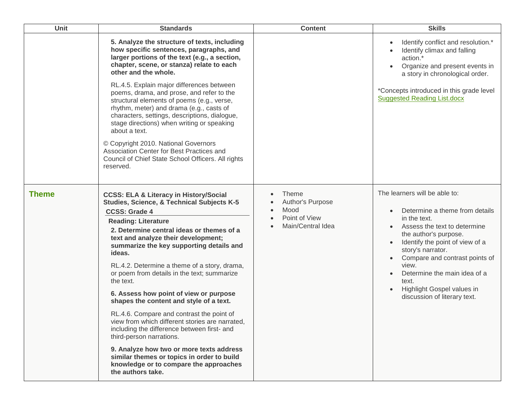| Unit         | <b>Standards</b>                                                                                                                                                                                                                                                                                                                                                                                                                                                                                                                                                                                                                                                                                                                                                                                                                                | <b>Content</b>                                                          | <b>Skills</b>                                                                                                                                                                                                                                                                                                                                      |
|--------------|-------------------------------------------------------------------------------------------------------------------------------------------------------------------------------------------------------------------------------------------------------------------------------------------------------------------------------------------------------------------------------------------------------------------------------------------------------------------------------------------------------------------------------------------------------------------------------------------------------------------------------------------------------------------------------------------------------------------------------------------------------------------------------------------------------------------------------------------------|-------------------------------------------------------------------------|----------------------------------------------------------------------------------------------------------------------------------------------------------------------------------------------------------------------------------------------------------------------------------------------------------------------------------------------------|
|              | 5. Analyze the structure of texts, including<br>how specific sentences, paragraphs, and<br>larger portions of the text (e.g., a section,<br>chapter, scene, or stanza) relate to each<br>other and the whole.<br>RL.4.5. Explain major differences between<br>poems, drama, and prose, and refer to the<br>structural elements of poems (e.g., verse,<br>rhythm, meter) and drama (e.g., casts of<br>characters, settings, descriptions, dialogue,<br>stage directions) when writing or speaking<br>about a text.<br>© Copyright 2010. National Governors<br>Association Center for Best Practices and<br>Council of Chief State School Officers. All rights<br>reserved.                                                                                                                                                                       |                                                                         | Identify conflict and resolution.*<br>Identify climax and falling<br>action.*<br>Organize and present events in<br>a story in chronological order.<br>*Concepts introduced in this grade level<br><b>Suggested Reading List.docx</b>                                                                                                               |
| <b>Theme</b> | <b>CCSS: ELA &amp; Literacy in History/Social</b><br><b>Studies, Science, &amp; Technical Subjects K-5</b><br><b>CCSS: Grade 4</b><br><b>Reading: Literature</b><br>2. Determine central ideas or themes of a<br>text and analyze their development;<br>summarize the key supporting details and<br>ideas.<br>RL.4.2. Determine a theme of a story, drama,<br>or poem from details in the text; summarize<br>the text.<br>6. Assess how point of view or purpose<br>shapes the content and style of a text.<br>RL.4.6. Compare and contrast the point of<br>view from which different stories are narrated,<br>including the difference between first- and<br>third-person narrations.<br>9. Analyze how two or more texts address<br>similar themes or topics in order to build<br>knowledge or to compare the approaches<br>the authors take. | Theme<br>Author's Purpose<br>Mood<br>Point of View<br>Main/Central Idea | The learners will be able to:<br>Determine a theme from details<br>in the text.<br>Assess the text to determine<br>the author's purpose.<br>Identify the point of view of a<br>story's narrator.<br>Compare and contrast points of<br>view.<br>Determine the main idea of a<br>text.<br>Highlight Gospel values in<br>discussion of literary text. |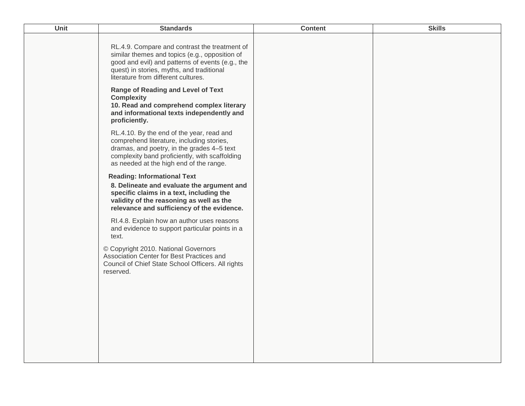| Unit | <b>Standards</b>                                                                                                                                                                                                                        | <b>Content</b> | <b>Skills</b> |
|------|-----------------------------------------------------------------------------------------------------------------------------------------------------------------------------------------------------------------------------------------|----------------|---------------|
|      | RL.4.9. Compare and contrast the treatment of<br>similar themes and topics (e.g., opposition of<br>good and evil) and patterns of events (e.g., the<br>quest) in stories, myths, and traditional<br>literature from different cultures. |                |               |
|      | <b>Range of Reading and Level of Text</b><br><b>Complexity</b><br>10. Read and comprehend complex literary<br>and informational texts independently and<br>proficiently.                                                                |                |               |
|      | RL.4.10. By the end of the year, read and<br>comprehend literature, including stories,<br>dramas, and poetry, in the grades 4-5 text<br>complexity band proficiently, with scaffolding<br>as needed at the high end of the range.       |                |               |
|      | <b>Reading: Informational Text</b><br>8. Delineate and evaluate the argument and<br>specific claims in a text, including the<br>validity of the reasoning as well as the<br>relevance and sufficiency of the evidence.                  |                |               |
|      | RI.4.8. Explain how an author uses reasons<br>and evidence to support particular points in a<br>text.                                                                                                                                   |                |               |
|      | © Copyright 2010. National Governors<br>Association Center for Best Practices and<br>Council of Chief State School Officers. All rights<br>reserved.                                                                                    |                |               |
|      |                                                                                                                                                                                                                                         |                |               |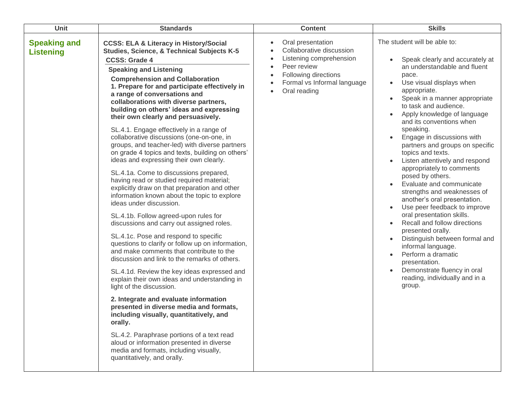| Unit                                    | <b>Standards</b>                                                                                                                                                                                                                                                                                                                                                                                                                                                                                                                                                                                                                                                                                                                                                                                                                                                                                                                                                                                                                                                                                                                                                                                                                                                                         | <b>Content</b>                                                                                                                                                 | <b>Skills</b>                                                                                                                                                                                                                                                                                                                                                                                                                                                                                                                                                                                                                                                                                                                                                                                                                                                                                 |
|-----------------------------------------|------------------------------------------------------------------------------------------------------------------------------------------------------------------------------------------------------------------------------------------------------------------------------------------------------------------------------------------------------------------------------------------------------------------------------------------------------------------------------------------------------------------------------------------------------------------------------------------------------------------------------------------------------------------------------------------------------------------------------------------------------------------------------------------------------------------------------------------------------------------------------------------------------------------------------------------------------------------------------------------------------------------------------------------------------------------------------------------------------------------------------------------------------------------------------------------------------------------------------------------------------------------------------------------|----------------------------------------------------------------------------------------------------------------------------------------------------------------|-----------------------------------------------------------------------------------------------------------------------------------------------------------------------------------------------------------------------------------------------------------------------------------------------------------------------------------------------------------------------------------------------------------------------------------------------------------------------------------------------------------------------------------------------------------------------------------------------------------------------------------------------------------------------------------------------------------------------------------------------------------------------------------------------------------------------------------------------------------------------------------------------|
| <b>Speaking and</b><br><b>Listening</b> | <b>CCSS: ELA &amp; Literacy in History/Social</b><br>Studies, Science, & Technical Subjects K-5<br><b>CCSS: Grade 4</b><br><b>Speaking and Listening</b><br><b>Comprehension and Collaboration</b><br>1. Prepare for and participate effectively in<br>a range of conversations and<br>collaborations with diverse partners,<br>building on others' ideas and expressing<br>their own clearly and persuasively.<br>SL.4.1. Engage effectively in a range of<br>collaborative discussions (one-on-one, in<br>groups, and teacher-led) with diverse partners<br>on grade 4 topics and texts, building on others'<br>ideas and expressing their own clearly.<br>SL.4.1a. Come to discussions prepared,<br>having read or studied required material;<br>explicitly draw on that preparation and other<br>information known about the topic to explore<br>ideas under discussion.<br>SL.4.1b. Follow agreed-upon rules for<br>discussions and carry out assigned roles.<br>SL.4.1c. Pose and respond to specific<br>questions to clarify or follow up on information,<br>and make comments that contribute to the<br>discussion and link to the remarks of others.<br>SL.4.1d. Review the key ideas expressed and<br>explain their own ideas and understanding in<br>light of the discussion. | Oral presentation<br>Collaborative discussion<br>Listening comprehension<br>Peer review<br>Following directions<br>Formal vs Informal language<br>Oral reading | The student will be able to:<br>Speak clearly and accurately at<br>an understandable and fluent<br>pace.<br>Use visual displays when<br>$\bullet$<br>appropriate.<br>Speak in a manner appropriate<br>$\bullet$<br>to task and audience.<br>Apply knowledge of language<br>and its conventions when<br>speaking.<br>Engage in discussions with<br>partners and groups on specific<br>topics and texts.<br>Listen attentively and respond<br>appropriately to comments<br>posed by others.<br>Evaluate and communicate<br>strengths and weaknesses of<br>another's oral presentation.<br>Use peer feedback to improve<br>oral presentation skills.<br>Recall and follow directions<br>presented orally.<br>Distinguish between formal and<br>informal language.<br>Perform a dramatic<br>$\bullet$<br>presentation.<br>Demonstrate fluency in oral<br>reading, individually and in a<br>group. |
|                                         | 2. Integrate and evaluate information<br>presented in diverse media and formats,<br>including visually, quantitatively, and<br>orally.<br>SL.4.2. Paraphrase portions of a text read<br>aloud or information presented in diverse<br>media and formats, including visually,<br>quantitatively, and orally.                                                                                                                                                                                                                                                                                                                                                                                                                                                                                                                                                                                                                                                                                                                                                                                                                                                                                                                                                                               |                                                                                                                                                                |                                                                                                                                                                                                                                                                                                                                                                                                                                                                                                                                                                                                                                                                                                                                                                                                                                                                                               |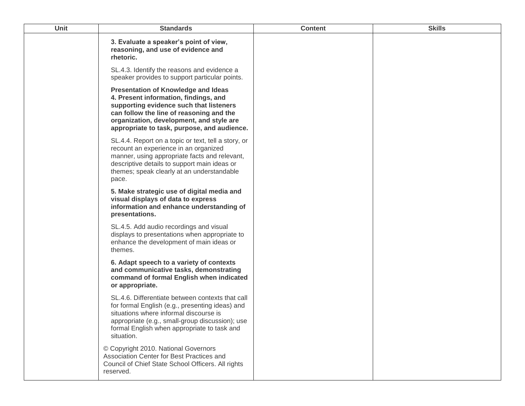| Unit | <b>Standards</b>                                                                                                                                                                                                                                                      | <b>Content</b> | <b>Skills</b> |
|------|-----------------------------------------------------------------------------------------------------------------------------------------------------------------------------------------------------------------------------------------------------------------------|----------------|---------------|
|      | 3. Evaluate a speaker's point of view,<br>reasoning, and use of evidence and<br>rhetoric.                                                                                                                                                                             |                |               |
|      | SL.4.3. Identify the reasons and evidence a<br>speaker provides to support particular points.                                                                                                                                                                         |                |               |
|      | <b>Presentation of Knowledge and Ideas</b><br>4. Present information, findings, and<br>supporting evidence such that listeners<br>can follow the line of reasoning and the<br>organization, development, and style are<br>appropriate to task, purpose, and audience. |                |               |
|      | SL.4.4. Report on a topic or text, tell a story, or<br>recount an experience in an organized<br>manner, using appropriate facts and relevant,<br>descriptive details to support main ideas or<br>themes; speak clearly at an understandable<br>pace.                  |                |               |
|      | 5. Make strategic use of digital media and<br>visual displays of data to express<br>information and enhance understanding of<br>presentations.                                                                                                                        |                |               |
|      | SL.4.5. Add audio recordings and visual<br>displays to presentations when appropriate to<br>enhance the development of main ideas or<br>themes.                                                                                                                       |                |               |
|      | 6. Adapt speech to a variety of contexts<br>and communicative tasks, demonstrating<br>command of formal English when indicated<br>or appropriate.                                                                                                                     |                |               |
|      | SL.4.6. Differentiate between contexts that call<br>for formal English (e.g., presenting ideas) and<br>situations where informal discourse is<br>appropriate (e.g., small-group discussion); use<br>formal English when appropriate to task and<br>situation.         |                |               |
|      | © Copyright 2010. National Governors<br>Association Center for Best Practices and<br>Council of Chief State School Officers. All rights<br>reserved.                                                                                                                  |                |               |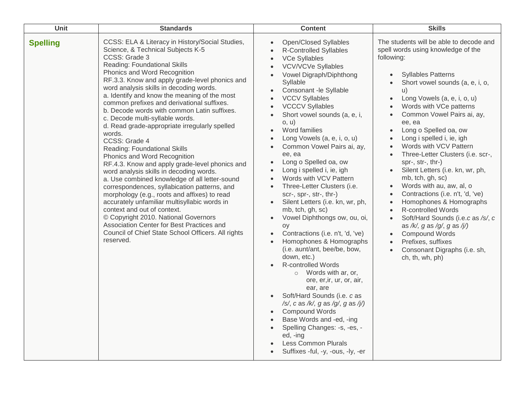| Unit            | <b>Standards</b>                                                                                                                                                                                                                                                                                                                                                                                                                                                                                                                                                                                                                                                                                                                                                                                                                                                                                                                                                                                                                                                                    | <b>Content</b>                                                                                                                                                                                                                                                                                                                                                                                                                                                                                                                                                                                                                                                                                                                                                                                                                                                                                                                                                                                                                                                                                                                                                                                                                                                                                                                                       | <b>Skills</b>                                                                                                                                                                                                                                                                                                                                                                                                                                                                                                                                                                                                                                                                                                                                                                                                                                                                            |
|-----------------|-------------------------------------------------------------------------------------------------------------------------------------------------------------------------------------------------------------------------------------------------------------------------------------------------------------------------------------------------------------------------------------------------------------------------------------------------------------------------------------------------------------------------------------------------------------------------------------------------------------------------------------------------------------------------------------------------------------------------------------------------------------------------------------------------------------------------------------------------------------------------------------------------------------------------------------------------------------------------------------------------------------------------------------------------------------------------------------|------------------------------------------------------------------------------------------------------------------------------------------------------------------------------------------------------------------------------------------------------------------------------------------------------------------------------------------------------------------------------------------------------------------------------------------------------------------------------------------------------------------------------------------------------------------------------------------------------------------------------------------------------------------------------------------------------------------------------------------------------------------------------------------------------------------------------------------------------------------------------------------------------------------------------------------------------------------------------------------------------------------------------------------------------------------------------------------------------------------------------------------------------------------------------------------------------------------------------------------------------------------------------------------------------------------------------------------------------|------------------------------------------------------------------------------------------------------------------------------------------------------------------------------------------------------------------------------------------------------------------------------------------------------------------------------------------------------------------------------------------------------------------------------------------------------------------------------------------------------------------------------------------------------------------------------------------------------------------------------------------------------------------------------------------------------------------------------------------------------------------------------------------------------------------------------------------------------------------------------------------|
| <b>Spelling</b> | CCSS: ELA & Literacy in History/Social Studies,<br>Science, & Technical Subjects K-5<br>CCSS: Grade 3<br>Reading: Foundational Skills<br>Phonics and Word Recognition<br>RF.3.3. Know and apply grade-level phonics and<br>word analysis skills in decoding words.<br>a. Identify and know the meaning of the most<br>common prefixes and derivational suffixes.<br>b. Decode words with common Latin suffixes.<br>c. Decode multi-syllable words.<br>d. Read grade-appropriate irregularly spelled<br>words.<br>CCSS: Grade 4<br>Reading: Foundational Skills<br>Phonics and Word Recognition<br>RF.4.3. Know and apply grade-level phonics and<br>word analysis skills in decoding words.<br>a. Use combined knowledge of all letter-sound<br>correspondences, syllabication patterns, and<br>morphology (e.g., roots and affixes) to read<br>accurately unfamiliar multisyllabic words in<br>context and out of context.<br>© Copyright 2010. National Governors<br>Association Center for Best Practices and<br>Council of Chief State School Officers. All rights<br>reserved. | Open/Closed Syllables<br>$\bullet$<br><b>R-Controlled Syllables</b><br>$\bullet$<br><b>VCe Syllables</b><br>$\bullet$<br><b>VCV/VCVe Syllables</b><br>$\bullet$<br>Vowel Digraph/Diphthong<br>$\bullet$<br>Syllable<br>Consonant -le Syllable<br>$\bullet$<br><b>VCCV Syllables</b><br>$\bullet$<br><b>VCCCV Syllables</b><br>$\bullet$<br>Short vowel sounds (a, e, i,<br>$\bullet$<br>o, u)<br>Word families<br>$\bullet$<br>Long Vowels (a, e, i, o, u)<br>$\bullet$<br>Common Vowel Pairs ai, ay,<br>$\bullet$<br>ee, ea<br>Long o Spelled oa, ow<br>$\bullet$<br>Long i spelled i, ie, igh<br>Words with VCV Pattern<br>Three-Letter Clusters (i.e.<br>$\bullet$<br>scr-, spr-, str-, thr-)<br>Silent Letters (i.e. kn, wr, ph,<br>$\bullet$<br>mb, tch, gh, sc)<br>Vowel Diphthongs ow, ou, oi,<br>$\bullet$<br>oy<br>Contractions (i.e. n't, 'd, 've)<br>Homophones & Homographs<br>$\bullet$<br>(i.e. aunt/ant, bee/be, bow,<br>down, etc.)<br><b>R-controlled Words</b><br>$\circ$ Words with ar, or,<br>ore, er, ir, ur, or, air,<br>ear, are<br>Soft/Hard Sounds (i.e. c as<br>$\bullet$<br>/s/, c as /k/, g as /g/, g as /j/)<br><b>Compound Words</b><br>$\bullet$<br>Base Words and -ed, -ing<br>$\bullet$<br>Spelling Changes: -s, -es, -<br>$\bullet$<br>ed, -ing<br><b>Less Common Plurals</b><br>Suffixes -ful, -y, -ous, -ly, -er | The students will be able to decode and<br>spell words using knowledge of the<br>following:<br><b>Syllables Patterns</b><br>Short vowel sounds (a, e, i, o,<br>u)<br>Long Vowels (a, e, i, o, u)<br>$\bullet$<br>Words with VCe patterns<br>$\bullet$<br>Common Vowel Pairs ai, ay,<br>$\bullet$<br>ee, ea<br>Long o Spelled oa, ow<br>$\bullet$<br>Long i spelled i, ie, igh<br>$\bullet$<br>Words with VCV Pattern<br>$\bullet$<br>Three-Letter Clusters (i.e. scr-,<br>spr-, str-, thr-)<br>Silent Letters (i.e. kn, wr, ph,<br>mb, tch, gh, sc)<br>Words with au, aw, al, o<br>Contractions (i.e. n't, 'd, 've)<br>Homophones & Homographs<br>$\bullet$<br><b>R-controlled Words</b><br>Soft/Hard Sounds (i.e.c as /s/, c<br>as /k/, g as /g/, g as /j/)<br><b>Compound Words</b><br>Prefixes, suffixes<br>$\bullet$<br>Consonant Digraphs (i.e. sh,<br>$\bullet$<br>ch, th, wh, ph) |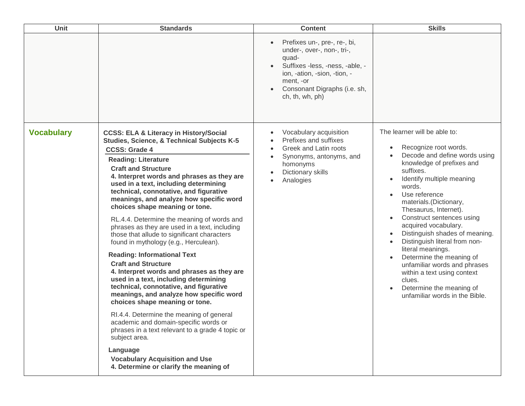| Unit              | <b>Standards</b>                                                                                                                                                                                                                                                                                                                                                                                                                                                                                                                                                                                                                                                                                                                                                                                                                                                                                                                                                                                                                                                                                                                    | <b>Content</b>                                                                                                                                                                                         | <b>Skills</b>                                                                                                                                                                                                                                                                                                                                                                                                                                                                                                                                                                         |
|-------------------|-------------------------------------------------------------------------------------------------------------------------------------------------------------------------------------------------------------------------------------------------------------------------------------------------------------------------------------------------------------------------------------------------------------------------------------------------------------------------------------------------------------------------------------------------------------------------------------------------------------------------------------------------------------------------------------------------------------------------------------------------------------------------------------------------------------------------------------------------------------------------------------------------------------------------------------------------------------------------------------------------------------------------------------------------------------------------------------------------------------------------------------|--------------------------------------------------------------------------------------------------------------------------------------------------------------------------------------------------------|---------------------------------------------------------------------------------------------------------------------------------------------------------------------------------------------------------------------------------------------------------------------------------------------------------------------------------------------------------------------------------------------------------------------------------------------------------------------------------------------------------------------------------------------------------------------------------------|
|                   |                                                                                                                                                                                                                                                                                                                                                                                                                                                                                                                                                                                                                                                                                                                                                                                                                                                                                                                                                                                                                                                                                                                                     | Prefixes un-, pre-, re-, bi,<br>under-, over-, non-, tri-,<br>quad-<br>Suffixes -less, -ness, -able, -<br>ion, -ation, -sion, -tion, -<br>ment, -or<br>Consonant Digraphs (i.e. sh,<br>ch, th, wh, ph) |                                                                                                                                                                                                                                                                                                                                                                                                                                                                                                                                                                                       |
| <b>Vocabulary</b> | <b>CCSS: ELA &amp; Literacy in History/Social</b><br>Studies, Science, & Technical Subjects K-5<br><b>CCSS: Grade 4</b><br><b>Reading: Literature</b><br><b>Craft and Structure</b><br>4. Interpret words and phrases as they are<br>used in a text, including determining<br>technical, connotative, and figurative<br>meanings, and analyze how specific word<br>choices shape meaning or tone.<br>RL.4.4. Determine the meaning of words and<br>phrases as they are used in a text, including<br>those that allude to significant characters<br>found in mythology (e.g., Herculean).<br><b>Reading: Informational Text</b><br><b>Craft and Structure</b><br>4. Interpret words and phrases as they are<br>used in a text, including determining<br>technical, connotative, and figurative<br>meanings, and analyze how specific word<br>choices shape meaning or tone.<br>RI.4.4. Determine the meaning of general<br>academic and domain-specific words or<br>phrases in a text relevant to a grade 4 topic or<br>subject area.<br>Language<br><b>Vocabulary Acquisition and Use</b><br>4. Determine or clarify the meaning of | Vocabulary acquisition<br>Prefixes and suffixes<br>Greek and Latin roots<br>Synonyms, antonyms, and<br>homonyms<br>Dictionary skills<br>Analogies                                                      | The learner will be able to:<br>Recognize root words.<br>$\bullet$<br>Decode and define words using<br>knowledge of prefixes and<br>suffixes.<br>Identify multiple meaning<br>$\bullet$<br>words.<br>Use reference<br>materials.(Dictionary,<br>Thesaurus, Internet).<br>Construct sentences using<br>acquired vocabulary.<br>Distinguish shades of meaning.<br>Distinguish literal from non-<br>literal meanings.<br>Determine the meaning of<br>unfamiliar words and phrases<br>within a text using context<br>clues.<br>Determine the meaning of<br>unfamiliar words in the Bible. |